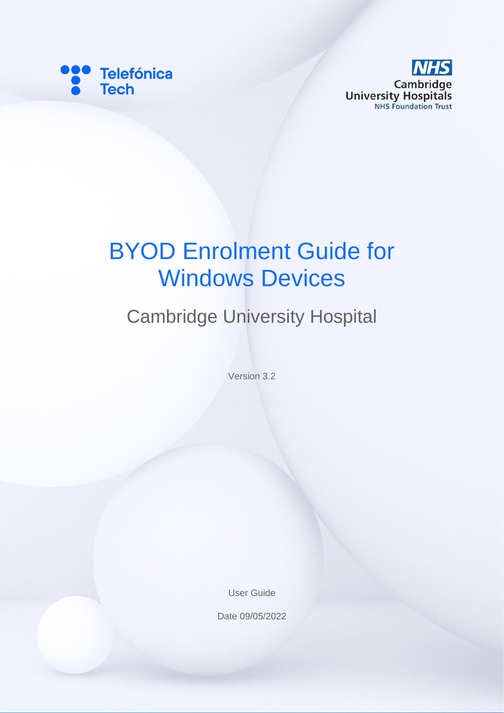



# BYOD Enrolment Guide for Windows Devices

## Cambridge University Hospital

Version 3.2

User Guide

Date 09/05/2022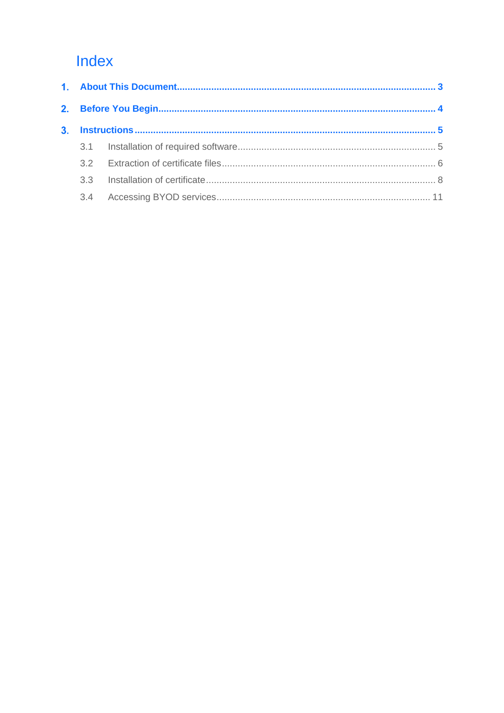### Index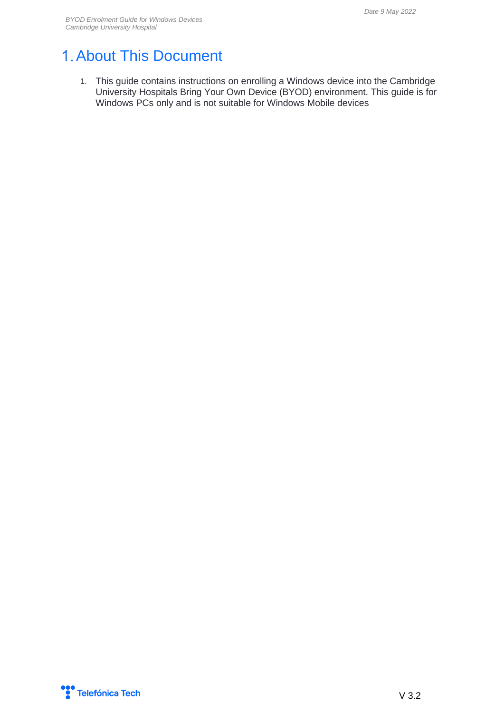### <span id="page-2-0"></span>1. About This Document

1. This guide contains instructions on enrolling a Windows device into the Cambridge University Hospitals Bring Your Own Device (BYOD) environment. This guide is for Windows PCs only and is not suitable for Windows Mobile devices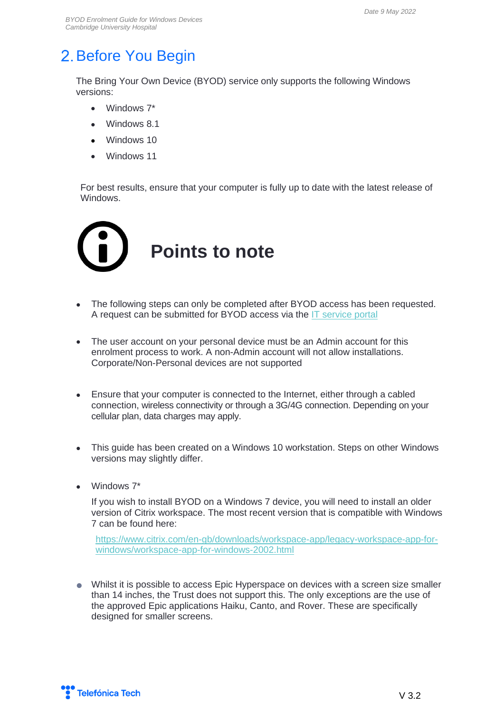### <span id="page-3-0"></span>2. Before You Begin

The Bring Your Own Device (BYOD) service only supports the following Windows versions:

- Windows 7\*
- Windows 8.1
- Windows 10
- Windows 11

For best results, ensure that your computer is fully up to date with the latest release of Windows.



- The following steps can only be completed after BYOD access has been requested. A request can be submitted for BYOD access via the [IT service portal](https://novoscomsp.service-now.com/sp)
- The user account on your personal device must be an Admin account for this enrolment process to work. A non-Admin account will not allow installations. Corporate/Non-Personal devices are not supported
- Ensure that your computer is connected to the Internet, either through a cabled connection, wireless connectivity or through a 3G/4G connection. Depending on your cellular plan, data charges may apply.
- This guide has been created on a Windows 10 workstation. Steps on other Windows versions may slightly differ.
- Windows 7\*

If you wish to install BYOD on a Windows 7 device, you will need to install an older version of Citrix workspace. The most recent version that is compatible with Windows 7 can be found here:

[https://www.citrix.com/en-gb/downloads/workspace-app/legacy-workspace-app-for](https://www.citrix.com/en-gb/downloads/workspace-app/legacy-workspace-app-for-windows/workspace-app-for-windows-2002.html)[windows/workspace-app-for-windows-2002.html](https://www.citrix.com/en-gb/downloads/workspace-app/legacy-workspace-app-for-windows/workspace-app-for-windows-2002.html)

• Whilst it is possible to access Epic Hyperspace on devices with a screen size smaller than 14 inches, the Trust does not support this. The only exceptions are the use of the approved Epic applications Haiku, Canto, and Rover. These are specifically designed for smaller screens.

Telefónica Tech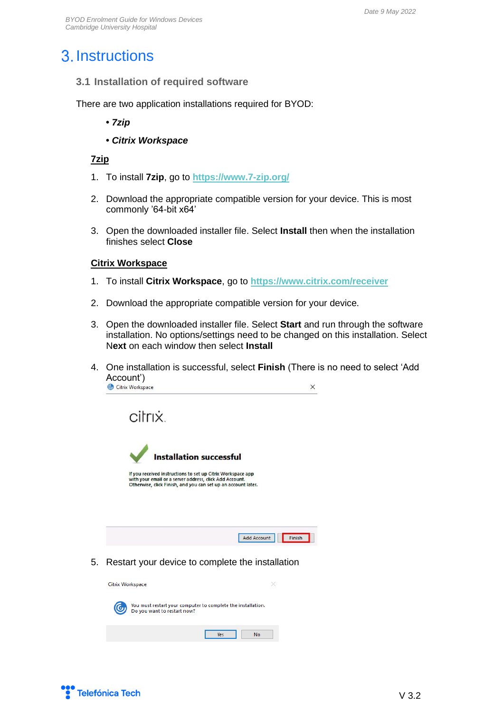### <span id="page-4-0"></span>3. Instructions

<span id="page-4-1"></span>**3.1 Installation of required software**

There are two application installations required for BYOD:

- **•** *7zip*
- *Citrix Workspace*

#### **7zip**

- 1. To install **7zip**, go to **<https://www.7-zip.org/>**
- 2. Download the appropriate compatible version for your device. This is most commonly '64-bit x64'
- 3. Open the downloaded installer file. Select **Install** then when the installation finishes select **Close**

#### **Citrix Workspace**

- 1. To install **Citrix Workspace**, go to **<https://www.citrix.com/receiver>**
- 2. Download the appropriate compatible version for your device.
- 3. Open the downloaded installer file. Select **Start** and run through the software installation. No options/settings need to be changed on this installation. Select N**ext** on each window then select **Install**
- 4. One installation is successful, select **Finish** (There is no need to select 'Add **Account')**<br> **C** Citrix Workspace  $\times$

citrix.



If you received instructions to set up Citrix Workspace app with your email or a server address, click Add Account.<br>Otherwise, click Finish, and you can set up an account later.



5. Restart your device to complete the installation



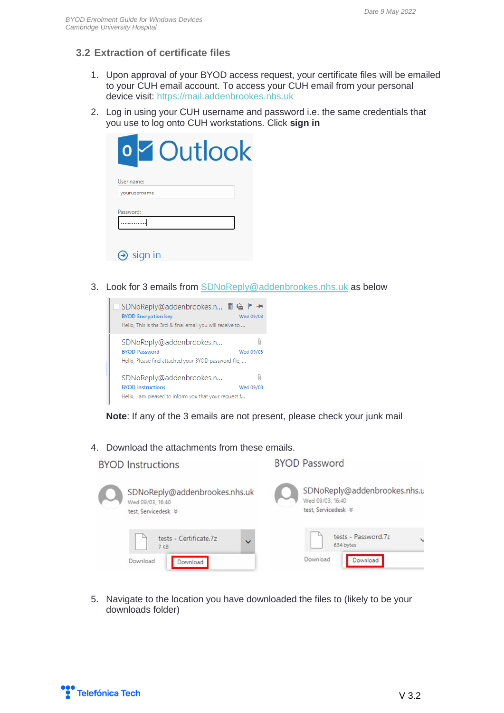#### <span id="page-5-0"></span>**3.2 Extraction of certificate files**

- 1. Upon approval of your BYOD access request, your certificate files will be emailed to your CUH email account. To access your CUH email from your personal device visit: [https://mail.addenbrookes.nhs.uk](https://mail.addenbrookes.nhs.uk/)
- 2. Log in using your CUH username and password i.e. the same credentials that you use to log onto CUH workstations. Click **sign in**

| Outlook                      |  |
|------------------------------|--|
| User name:                   |  |
| yourusername                 |  |
| Password:                    |  |
|                              |  |
|                              |  |
| sign in<br>$\leftrightarrow$ |  |

3. Look for 3 emails from [SDNoReply@addenbrookes.nhs.uk](mailto:SDNoReply@addenbrookes.nhs.uk) as below



**Note**: If any of the 3 emails are not present, please check your junk mail

4. Download the attachments from these emails.

| <b>BYOD Instructions</b>                                                | <b>BYOD Password</b>                                                           |
|-------------------------------------------------------------------------|--------------------------------------------------------------------------------|
| SDNoReply@addenbrookes.nhs.uk<br>Wed 09/03, 16:40<br>test Servicedesk % | SDNoReply@addenbrookes.nhs.u<br>Wed 09/03, 16:40<br>test Servicedesk $\otimes$ |
| tests - Certificate.7z<br>$\checkmark$<br>7 KB                          | tests - Password.7z<br>$\checkmark$<br>634 bytes                               |
| Download<br>Download                                                    | Download<br>Download                                                           |

5. Navigate to the location you have downloaded the files to (likely to be your downloads folder)

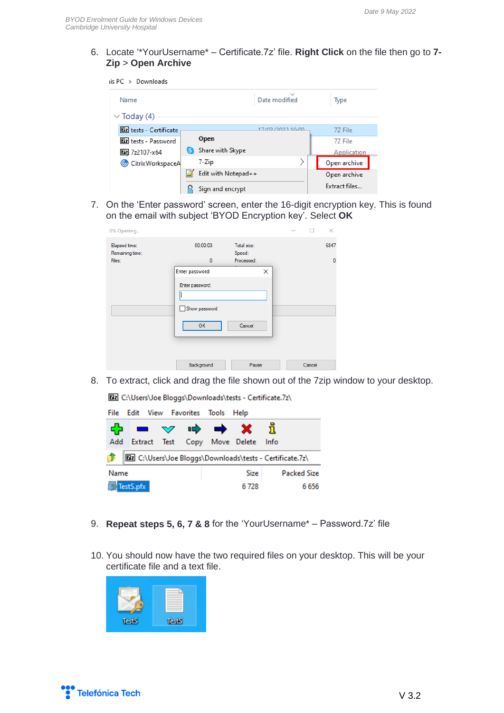6. Locate '\*YourUsername\* – Certificate.7z' file. **Right Click** on the file then go to **7- Zip** > **Open Archive**

 $is PC \rightarrow Downloads$ 

| Name                          |    |                     | $\checkmark$<br>Date modified | Type          |
|-------------------------------|----|---------------------|-------------------------------|---------------|
| $\vee$ Today (4)              |    |                     |                               |               |
| <b>Dz</b> tests - Certificate |    |                     | 17/02/2022 10:00              | 7Z File       |
| <b>Ez</b> tests - Password    |    | <b>Open</b>         |                               | 77 File       |
| $22107 - x64$                 | S) | Share with Skype    |                               | Application   |
| CitrixWorkspaceA              |    | 7-Zip               |                               | Open archive  |
|                               |    | Edit with Notepad++ |                               | Open archive  |
|                               |    | Sign and encrypt    |                               | Extract files |

7. On the 'Enter password' screen, enter the 16-digit encryption key. This is found on the email with subject 'BYOD Encryption key'. Select **OK**

| 0% Opening                       |                 |                       | п.     | ×    |
|----------------------------------|-----------------|-----------------------|--------|------|
| Elapsed time:<br>Remaining time: | 00:00:03        | Total size:<br>Speed: |        | 6847 |
| Files:                           | $\bf{0}$        | Processed:            |        | n    |
|                                  | Enter password  | $\times$              |        |      |
|                                  | Enter password: |                       |        |      |
|                                  |                 |                       |        |      |
|                                  | Show password   |                       |        |      |
|                                  | <b>OK</b>       | Cancel                |        |      |
|                                  |                 |                       |        |      |
|                                  | Background      | Pause                 | Cancel |      |

8. To extract, click and drag the file shown out of the 7zip window to your desktop.

[22] C:\Users\Joe Bloggs\Downloads\tests - Certificate.7z\

| File |           |  | Edit View Favorites Tools Help                                                                                                                                                                                                                                                                                                                                                                                                                                                                                                                                                                                 |                                                            |        |                    |
|------|-----------|--|----------------------------------------------------------------------------------------------------------------------------------------------------------------------------------------------------------------------------------------------------------------------------------------------------------------------------------------------------------------------------------------------------------------------------------------------------------------------------------------------------------------------------------------------------------------------------------------------------------------|------------------------------------------------------------|--------|--------------------|
|      |           |  | $\blacksquare$ $\vee$ $\blacksquare$ $\blacktriangleright$ $\blacktriangle$ $\blacktriangleright$ $\blacktriangleright$ $\blacktriangleright$ $\blacktriangleright$ $\blacktriangleright$ $\blacktriangleright$ $\blacktriangleright$ $\blacktriangleright$ $\blacktriangleright$ $\blacktriangleright$ $\blacktriangleright$ $\blacktriangleright$ $\blacktriangleright$ $\blacktriangleright$ $\blacktriangleright$ $\blacktriangleright$ $\blacktriangleright$ $\blacktriangleright$ $\blacktriangleright$ $\blacktriangleright$ $\blacktriangleright$ $\blacktriangleright$ $\blacktriangleright$ $\black$ |                                                            |        |                    |
| Add  |           |  | Extract Test Copy Move Delete                                                                                                                                                                                                                                                                                                                                                                                                                                                                                                                                                                                  |                                                            | – Info |                    |
|      |           |  |                                                                                                                                                                                                                                                                                                                                                                                                                                                                                                                                                                                                                | [22] C:\Users\Joe Bloggs\Downloads\tests - Certificate.7z\ |        |                    |
| Name |           |  |                                                                                                                                                                                                                                                                                                                                                                                                                                                                                                                                                                                                                | Size                                                       |        | <b>Packed Size</b> |
|      | TestS.pfx |  |                                                                                                                                                                                                                                                                                                                                                                                                                                                                                                                                                                                                                | 6728                                                       |        | 6 6 5 6            |

- 9. **Repeat steps 5, 6, 7 & 8** for the 'YourUsername\* Password.7z' file
- 10. You should now have the two required files on your desktop. This will be your certificate file and a text file.



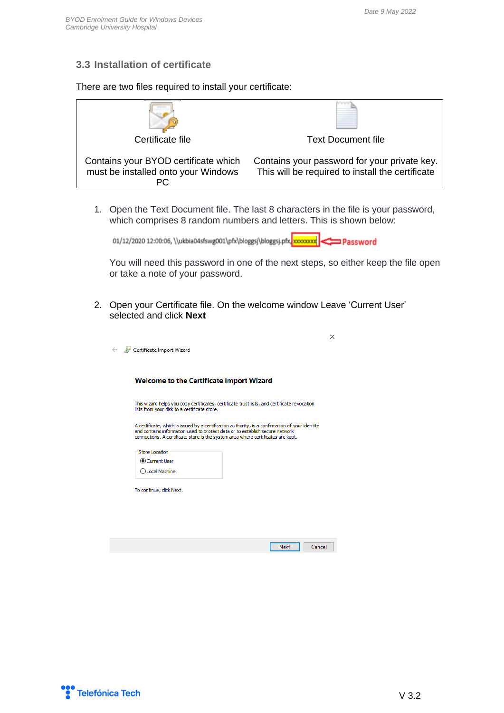#### <span id="page-7-0"></span>**3.3 Installation of certificate**

There are two files required to install your certificate:

| Certificate file                                                            | <b>Text Document file</b>                                                                        |
|-----------------------------------------------------------------------------|--------------------------------------------------------------------------------------------------|
| Contains your BYOD certificate which<br>must be installed onto your Windows | Contains your password for your private key.<br>This will be required to install the certificate |

1. Open the Text Document file. The last 8 characters in the file is your password, which comprises 8 random numbers and letters. This is shown below:

Password = بالكليم بالمجمع بالمجمع بالمجمع بالمجمع بالمجمع بالمجمع بالمجمع بالمجمع بالمجمع بالمجمع بالمجمع بالمجمع بالمجمع بالمجمع بالمجمع بالمجمع بالمجمع بالمجمع بالمجمع بالمجمع بالمجمع بالمجموع بالمجموع بالمجموع بالمجمو

You will need this password in one of the next steps, so either keep the file open or take a note of your password.

Cancel |

 $Next$ 

2. Open your Certificate file. On the welcome window Leave 'Current User' selected and click **Next**

| Certificate Import Wizard                    |                                                                                                                                                                                                                                                                     |
|----------------------------------------------|---------------------------------------------------------------------------------------------------------------------------------------------------------------------------------------------------------------------------------------------------------------------|
|                                              | Welcome to the Certificate Import Wizard                                                                                                                                                                                                                            |
| lists from your disk to a certificate store. | This wizard helps you copy certificates, certificate trust lists, and certificate revocation                                                                                                                                                                        |
| <b>Store Location</b>                        | A certificate, which is issued by a certification authority, is a confirmation of your identity<br>and contains information used to protect data or to establish secure network<br>connections. A certificate store is the system area where certificates are kept. |
| Current User                                 |                                                                                                                                                                                                                                                                     |
| ◯ Local Machine                              |                                                                                                                                                                                                                                                                     |
| To continue, click Next.                     |                                                                                                                                                                                                                                                                     |
|                                              |                                                                                                                                                                                                                                                                     |
|                                              |                                                                                                                                                                                                                                                                     |
|                                              |                                                                                                                                                                                                                                                                     |
|                                              |                                                                                                                                                                                                                                                                     |



 $\leftarrow$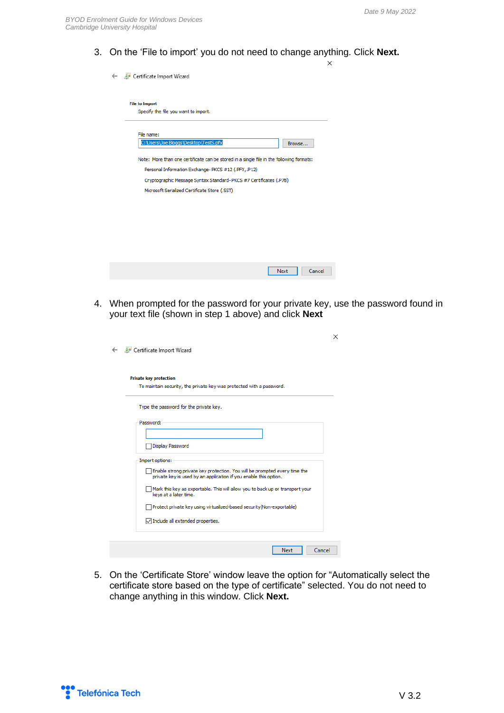3. On the 'File to import' you do not need to change anything. Click **Next.**  $\times$ Certificate Import Wizard **File to Import** Specify the file you want to import. File name: C:\Users\Joe Bloggs\Desktop\TestS.pfx Browse... Note: More than one certificate can be stored in a single file in the following formats:

Personal Information Exchange-PKCS #12 (.PFX,.P12)

Microsoft Serialized Certificate Store (.SST)

Cryptographic Message Syntax Standard-PKCS #7 Certificates (.P7B)

4. When prompted for the password for your private key, use the password found in your text file (shown in step 1 above) and click **Next**

Next N

Cancel

| <b>Private key protection</b> | To maintain security, the private key was protected with a password.                                                                          |
|-------------------------------|-----------------------------------------------------------------------------------------------------------------------------------------------|
|                               |                                                                                                                                               |
|                               | Type the password for the private key.                                                                                                        |
| Password:                     |                                                                                                                                               |
|                               |                                                                                                                                               |
|                               | Display Password                                                                                                                              |
|                               |                                                                                                                                               |
| Import options:               |                                                                                                                                               |
|                               | Enable strong private key protection. You will be prompted every time the<br>private key is used by an application if you enable this option. |
|                               | Mark this key as exportable. This will allow you to back up or transport your<br>keys at a later time.                                        |
|                               | Protect private key using virtualized-based security (Non-exportable)                                                                         |
|                               | $\sqrt{\ }$ Include all extended properties.                                                                                                  |

5. On the 'Certificate Store' window leave the option for "Automatically select the certificate store based on the type of certificate" selected. You do not need to change anything in this window. Click **Next.**

Telefónica Tech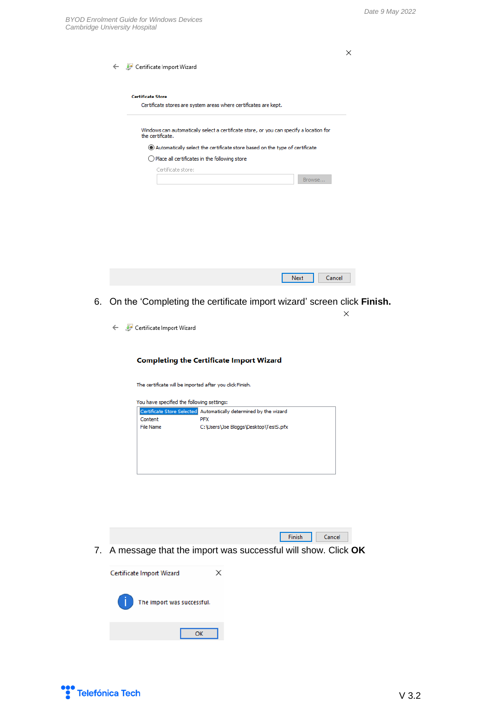|    |                                                                                                                                         | × |
|----|-----------------------------------------------------------------------------------------------------------------------------------------|---|
|    | Certificate Import Wizard<br>$\leftarrow$                                                                                               |   |
|    | <b>Certificate Store</b><br>Certificate stores are system areas where certificates are kept.                                            |   |
|    | Windows can automatically select a certificate store, or you can specify a location for<br>the certificate.                             |   |
|    | Automatically select the certificate store based on the type of certificate<br>$\bigcirc$ Place all certificates in the following store |   |
|    | Certificate store:                                                                                                                      |   |
|    | Browse                                                                                                                                  |   |
|    |                                                                                                                                         |   |
|    |                                                                                                                                         |   |
|    |                                                                                                                                         |   |
|    |                                                                                                                                         |   |
|    |                                                                                                                                         |   |
|    |                                                                                                                                         |   |
|    | <b>Next</b><br>Cancel                                                                                                                   |   |
| 6. | On the 'Completing the certificate import wizard' screen click Finish.                                                                  |   |
|    |                                                                                                                                         | × |
|    | Certificate Import Wizard                                                                                                               |   |
|    |                                                                                                                                         |   |
|    | <b>Completing the Certificate Import Wizard</b>                                                                                         |   |
|    | The certificate will be imported after you click Finish.                                                                                |   |

| You have specified the following settings: |                                        |
|--------------------------------------------|----------------------------------------|
| Certificate Store Selected                 | Automatically determined by the wizard |
| Content                                    | <b>PFX</b>                             |
| File Name                                  | C:\Users\Joe Bloggs\Desktop\TestS.pfx  |
|                                            |                                        |
|                                            |                                        |
|                                            |                                        |
|                                            |                                        |
|                                            |                                        |
|                                            |                                        |

7. A message that the import was successful will show. Click **OK**

Finish Cancel



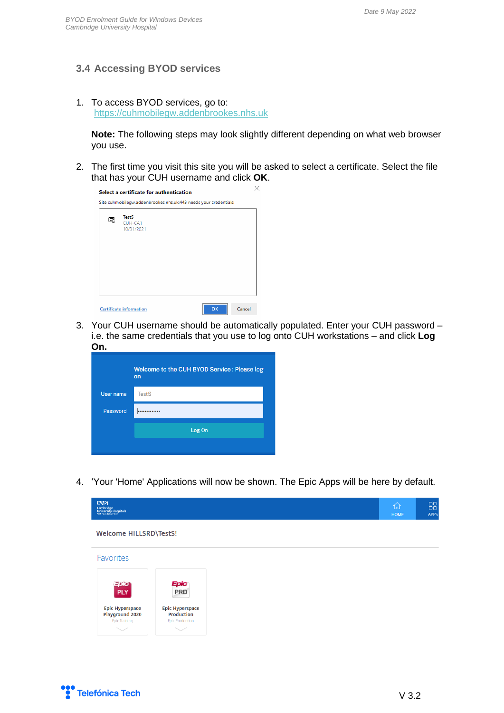#### <span id="page-10-0"></span>**3.4 Accessing BYOD services**

1. To access BYOD services, go to: [https://cuhmobilegw.addenbrookes.nhs.uk](https://cuhmobilegw.addenbrookes.nhs.uk/)

**Note:** The following steps may look slightly different depending on what web browser you use.

2. The first time you visit this site you will be asked to select a certificate. Select the file that has your CUH username and click **OK**.

| CUH-CA1    |  |  |
|------------|--|--|
| 10/31/2021 |  |  |
|            |  |  |
|            |  |  |
|            |  |  |
|            |  |  |

3. Your CUH username should be automatically populated. Enter your CUH password – i.e. the same credentials that you use to log onto CUH workstations – and click **Log On.**

|           | Welcome to the CUH BYOD Service: Please log<br>on |  |  |  |  |  |  |
|-----------|---------------------------------------------------|--|--|--|--|--|--|
| User name | <b>TestS</b>                                      |  |  |  |  |  |  |
| Password  |                                                   |  |  |  |  |  |  |
|           | Log On                                            |  |  |  |  |  |  |
|           |                                                   |  |  |  |  |  |  |

4. 'Your 'Home' Applications will now be shown. The Epic Apps will be here by default.